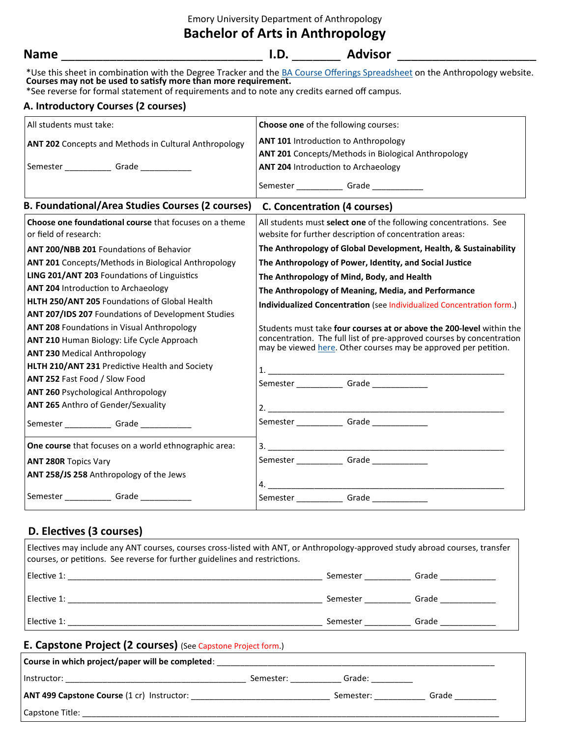Emory University Department of Anthropology

**Bachelor of Arts in Anthropology** 

| <b>Name</b>                                                                                                                                                                                                                                                                                   | I.D. | <b>Advisor</b>                                             |  |
|-----------------------------------------------------------------------------------------------------------------------------------------------------------------------------------------------------------------------------------------------------------------------------------------------|------|------------------------------------------------------------|--|
| *Use this sheet in combination with the Degree Tracker and the BA Course Offerings Spreadsheet on the Anthropology website.<br>Courses may not be used to satisfy more than more requirement.<br>*See reverse for formal statement of requirements and to note any credits earned off campus. |      |                                                            |  |
| A. Introductory Courses (2 courses)                                                                                                                                                                                                                                                           |      |                                                            |  |
| All students must take:                                                                                                                                                                                                                                                                       |      | <b>Choose one</b> of the following courses:                |  |
| ANT 202 Concepts and Methods in Cultural Anthropology                                                                                                                                                                                                                                         |      | <b>ANT 101 Introduction to Anthropology</b>                |  |
|                                                                                                                                                                                                                                                                                               |      | <b>ANT 201</b> Concepts/Methods in Biological Anthropology |  |

|          |       |            | $\overline{a}$ and $\overline{a}$ concepts/we choose in Divides |  |
|----------|-------|------------|-----------------------------------------------------------------|--|
| Semester | Grade |            | <b>ANT 204 Introduction to Archaeology</b>                      |  |
|          |       | ، Semester | Grade                                                           |  |

| <b>B. Foundational/Area Studies Courses (2 courses)</b>                                                                                | C. Concentration (4 courses)                                                                                                                                                                                     |  |  |
|----------------------------------------------------------------------------------------------------------------------------------------|------------------------------------------------------------------------------------------------------------------------------------------------------------------------------------------------------------------|--|--|
| <b>Choose one foundational course that focuses on a theme</b><br>or field of research:                                                 | All students must <b>select one</b> of the following concentrations. See<br>website for further description of concentration areas:                                                                              |  |  |
| <b>ANT 200/NBB 201 Foundations of Behavior</b>                                                                                         | The Anthropology of Global Development, Health, & Sustainability                                                                                                                                                 |  |  |
| <b>ANT 201</b> Concepts/Methods in Biological Anthropology                                                                             | The Anthropology of Power, Identity, and Social Justice                                                                                                                                                          |  |  |
| LING 201/ANT 203 Foundations of Linguistics                                                                                            | The Anthropology of Mind, Body, and Health                                                                                                                                                                       |  |  |
| ANT 204 Introduction to Archaeology                                                                                                    | The Anthropology of Meaning, Media, and Performance                                                                                                                                                              |  |  |
| HLTH 250/ANT 205 Foundations of Global Health<br>ANT 207/IDS 207 Foundations of Development Studies                                    | Individualized Concentration (see Individualized Concentration form.)                                                                                                                                            |  |  |
| <b>ANT 208 Foundations in Visual Anthropology</b><br>ANT 210 Human Biology: Life Cycle Approach<br><b>ANT 230 Medical Anthropology</b> | Students must take four courses at or above the 200-level within the<br>concentration. The full list of pre-approved courses by concentration<br>may be viewed here. Other courses may be approved per petition. |  |  |
| HLTH 210/ANT 231 Predictive Health and Society<br><b>ANT 252 Fast Food / Slow Food</b><br><b>ANT 260 Psychological Anthropology</b>    |                                                                                                                                                                                                                  |  |  |
| <b>ANT 265 Anthro of Gender/Sexuality</b>                                                                                              | Semester _______________ Grade _______________                                                                                                                                                                   |  |  |
| <b>One course</b> that focuses on a world ethnographic area:                                                                           |                                                                                                                                                                                                                  |  |  |
| <b>ANT 280R Topics Vary</b>                                                                                                            | Semester _______________Grade ________________                                                                                                                                                                   |  |  |
| ANT 258/JS 258 Anthropology of the Jews                                                                                                |                                                                                                                                                                                                                  |  |  |
| Semester _______________ Grade ______________                                                                                          | Semester ________________Grade _______________                                                                                                                                                                   |  |  |
|                                                                                                                                        |                                                                                                                                                                                                                  |  |  |

## **D. Electives (3 courses)**

Capstone Title: \_

| Electives may include any ANT courses, courses cross-listed with ANT, or Anthropology-approved study abroad courses, transfer<br>courses, or petitions. See reverse for further guidelines and restrictions. |                         |                                               |
|--------------------------------------------------------------------------------------------------------------------------------------------------------------------------------------------------------------|-------------------------|-----------------------------------------------|
|                                                                                                                                                                                                              |                         | Semester _______________Grade _______________ |
|                                                                                                                                                                                                              |                         | Semester ____________Grade _______________    |
|                                                                                                                                                                                                              |                         |                                               |
| <b>E. Capstone Project (2 courses)</b> (See Capstone Project form.)                                                                                                                                          |                         |                                               |
| Course in which project/paper will be completed: ________________________________                                                                                                                            |                         |                                               |
|                                                                                                                                                                                                              |                         |                                               |
|                                                                                                                                                                                                              | Semester: _____________ | Grade                                         |